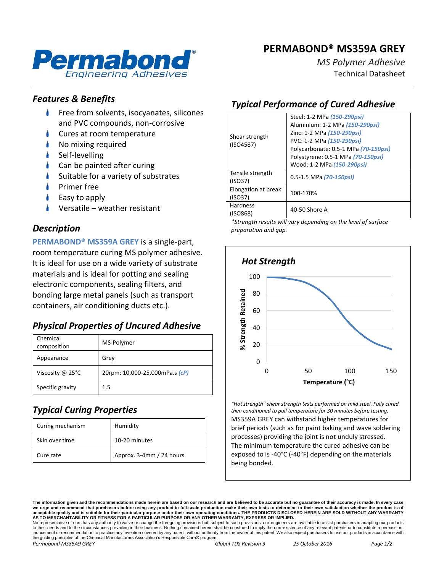# **PERMABOND® MS359A GREY**



*MS Polymer Adhesive* Technical Datasheet

### *Features & Benefits*

- Free from solvents, isocyanates, silicones and PVC compounds, non-corrosive
- Cures at room temperature
- No mixing required
- Self-levelling
- Can be painted after curing
- Suitable for a variety of substrates
- Primer free
- Easy to apply
- Versatile weather resistant

### *Description*

**PERMABOND® MS359A GREY** is a single-part, room temperature curing MS polymer adhesive. It is ideal for use on a wide variety of substrate materials and is ideal for potting and sealing electronic components, sealing filters, and bonding large metal panels (such as transport containers, air conditioning ducts etc.).

## *Physical Properties of Uncured Adhesive*

| Chemical<br>composition    | MS-Polymer                     |
|----------------------------|--------------------------------|
| Appearance                 | Grey                           |
| Viscosity @ $25^{\circ}$ C | 20rpm: 10,000-25,000mPa.s (cP) |
| Specific gravity           | $1.5\,$                        |

## *Typical Curing Properties*

| Curing mechanism | Humidity                 |
|------------------|--------------------------|
| Skin over time   | 10-20 minutes            |
| Cure rate        | Approx. 3-4mm / 24 hours |

# *Typical Performance of Cured Adhesive*

| Shear strength<br>(ISO4587)    | Steel: 1-2 MPa (150-290psi)<br>Aluminium: 1-2 MPa (150-290psi)<br>Zinc: 1-2 MPa (150-290psi)<br>PVC: 1-2 MPa (150-290psi)<br>Polycarbonate: 0.5-1 MPa (70-150psi)<br>Polystyrene: 0.5-1 MPa (70-150psi)<br>Wood: 1-2 MPa (150-290psi) |
|--------------------------------|---------------------------------------------------------------------------------------------------------------------------------------------------------------------------------------------------------------------------------------|
| Tensile strength<br>(ISO37)    | 0.5-1.5 MPa (70-150psi)                                                                                                                                                                                                               |
| Elongation at break<br>(ISO37) | 100-170%                                                                                                                                                                                                                              |
| <b>Hardness</b><br>(ISO868)    | 40-50 Shore A                                                                                                                                                                                                                         |

*\*Strength results will vary depending on the level of surface preparation and gap.*



*"Hot strength" shear strength tests performed on mild steel. Fully cured then conditioned to pull temperature for 30 minutes before testing.* MS359A GREY can withstand higher temperatures for brief periods (such as for paint baking and wave soldering processes) providing the joint is not unduly stressed. The minimum temperature the cured adhesive can be

exposed to is -40°C (-40°F) depending on the materials being bonded.

*Permabond MS35A9 GREY Global TDS Revision 3 25 October 2016 Page 1/2*

**The information given and the recommendations made herein are based on our research and are believed to be accurate but no guarantee of their accuracy is made. In every case**  we urge and recommend that purchasers before using any product in full-scale production make their own tests to determine to their own satisfaction whether the produ acceptable quality and is suitable for their particular purpose under their own operating conditions. THE PRODUCTS DISCLOSED HEREIN ARE SOLD WITHOUT ANY WARRANTY<br>AS TO MERCHANTABILITY OR FITNESS FOR A PARTICULAR PURPOSE OR

No representative of ours has any authority to waive or change the foregoing provisions but, subject to such provisions, our engineers are available to assist purchasers in adapting our products to their needs and to the circumstances prevailing in their business. Nothing contained herein shall be construed to imply the non-existence of any relevant patents or to constitute a permission,<br>inducement or recommendati the guiding principles of the Chemical Manufacturers Association's Responsible Care® program.